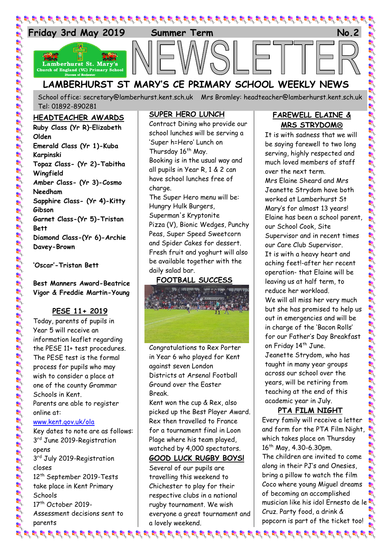

## **LAMBERHURST ST MARY'S CE PRIMARY SCHOOL WEEKLY NEWS**

School office: [secretary@lamberhurst.kent.sch.uk](mailto:secretary@lamberhurst.kent.sch.uk) Mrs Bromley: headteacher@lamberhurst.kent.sch.uk Tel: 01892-890281

#### **HEADTEACHER AWARDS**

**Ruby Class (Yr R)–Elizabeth Olden Emerald Class (Yr 1)-Kuba Karpinski Topaz Class- (Yr 2)-Tabitha Wingfield Amber Class- (Yr 3)-Cosmo Needham Sapphire Class- (Yr 4)-Kitty Gibson Garnet Class-(Yr 5)-Tristan Bett Diamond Class-(Yr 6)-Archie Davey-Brown**

**'Oscar'-Tristan Bett**

**Best Manners Award-Beatrice Vigor & Freddie Martin-Young**

#### **PESE 11+ 2019**

Today, parents of pupils in Year 5 will receive an information leaflet regarding the PESE 11+ test procedures. The PESE test is the formal process for pupils who may wish to consider a place at one of the county Grammar Schools in Kent. Parents are able to register online at: [www.kent.gov.uk/ola](http://www.kent.gov.uk/ola)

Key dates to note are as follows: 3<sup>rd</sup> June 2019-Registration opens 3rd July 2019-Registration closes 12<sup>th</sup> September 2019-Tests take place in Kent Primary **Schools** 17<sup>th</sup> October 2019-Assessment decisions sent to parents

#### **SUPER HERO LUNCH**

Contract Dining who provide our school lunches will be serving a 'Super h=Hero' Lunch on Thursday 16<sup>th</sup> May. Booking is in the usual way and all pupils in Year R, 1 & 2 can have school lunches free of charge. The Super Hero menu will be: Hungry Hulk Burgers, Superman's Kryptonite Pizza (V), Bionic Wedges, Punchy

Peas, Super Speed Sweetcorn and Spider Cakes for dessert. Fresh fruit and yoghurt will also be available together with the daily salad bar.

#### **FOOTBALL SUCCESS**



Congratulations to Rex Porter in Year 6 who played for Kent against seven London Districts at Arsenal Football Ground over the Easter Break.

Kent won the cup & Rex, also picked up the Best Player Award. Rex then travelled to France for a tournament final in Loon Plage where his team played, watched by 4,000 spectators. **GOOD LUCK RUGBY BOYS!**

Several of our pupils are travelling this weekend to Chichester to play for their respective clubs in a national rugby tournament. We wish everyone a great tournament and a lovely weekend.

#### **FAREWELL ELAINE & MRS STRYDOM**

It is with sadness that we will be saying farewell to two long serving, highly respected and much loved members of staff over the next term. Mrs Elaine Sheard and Mrs Jeanette Strydom have both worked at Lamberhurst St Mary's for almost 13 years! Elaine has been a school parent, our School Cook, Site Supervisor and in recent times our Care Club Supervisor. It is with a heavy heart and aching feet!-after her recent operation- that Elaine will be leaving us at half term, to reduce her workload. We will all miss her very much but she has promised to help us out in emergencies and will be in charge of the 'Bacon Rolls' for our Father's Day Breakfast on Friday 14<sup>th</sup> June. Jeanette Strydom, who has taught in many year groups across our school over the years, will be retiring from teaching at the end of this academic year in July.

#### **PTA FILM NIGHT**

Every family will receive a letter and form for the PTA Film Night, which takes place on Thursday  $16<sup>th</sup>$  May, 4.30-6.30pm. The children are invited to come along in their PJ's and Onesies, bring a pillow to watch the film Coco where young Miguel dreams of becoming an accomplished musician like his idol Ernesto de le Cruz. Party food, a drink & popcorn is part of the ticket too!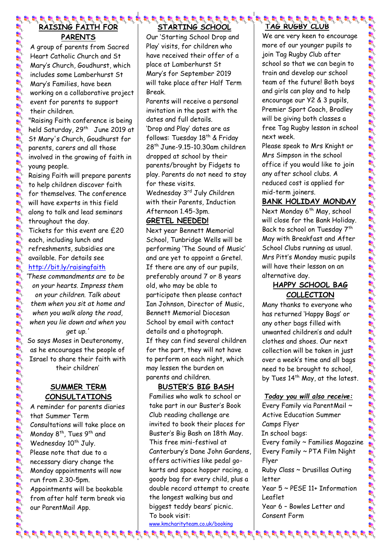# **RAISING FAITH FOR PARENTS**

A group of parents from Sacred Heart Catholic Church and St Mary's Church, Goudhurst, which includes some Lamberhurst St Mary's Families, have been working on a collaborative project event for parents to support their children.

"Raising Faith conference is being held Saturday, 29<sup>th</sup> June 2019 at St Mary's Church, Goudhurst for parents, carers and all those involved in the growing of faith in young people.

Raising Faith will prepare parents to help children discover faith for themselves. The conference will have experts in this field along to talk and lead seminars throughout the day.

Tickets for this event are £20 each, including lunch and refreshments, subsidies are available. For details see <http://bit.ly/raisingfaith>

*'These commandments are to be on your hearts. Impress them on your children. Talk about them when you sit at home and when you walk along the road, when you lie down and when you get up.'* 

So says Moses in Deuteronomy, as he encourages the people of Israel to share their faith with their children'

#### **SUMMER TERM CONSULTATIONS**

A reminder for parents diaries that Summer Term Consultations will take place on Monday 8<sup>th</sup>, Tues 9<sup>th</sup> and Wednesday 10<sup>th</sup> July. Please note that due to a necessary diary change the Monday appointments will now run from 2.30-5pm. Appointments will be bookable from after half term break via our ParentMail App.

#### **STARTING SCHOOL**

Our 'Starting School Drop and Play' visits, for children who have received their offer of a place at Lamberhurst St Mary's for September 2019 will take place after Half Term Break.

Parents will receive a personal invitation in the post with the dates and full details. 'Drop and Play' dates are as follows: Tuesday 18<sup>th</sup> & Friday 28th June-9.15-10.30am children dropped at school by their parents/brought by Fidgets to play. Parents do not need to stay for these visits.

Wednesday 3rd July Children with their Parents, Induction Afternoon 1.45-3pm.

#### **GRETEL NEEDED!**

Next year Bennett Memorial School, Tunbridge Wells will be performing 'The Sound of Music' and are yet to appoint a Gretel. If there are any of our pupils, preferably around 7 or 8 years old, who may be able to participate then please contact Ian Johnson, Director of Music, Bennett Memorial Diocesan School by email with contact details and a photograph. If they can find several children for the part, they will not have to perform on each night, which may lessen the burden on parents and children.

#### **BUSTER'S BIG BASH**

Families who walk to school or take part in our Buster's Book Club reading challenge are invited to book their places for Buster's Big Bash on 18th May. This free mini-festival at Canterbury's Dane John Gardens, offers activities like pedal gokarts and space hopper racing, a goody bag for every child, plus a double record attempt to create the longest walking bus and biggest teddy bears' picnic. To book visit:

[www.kmcharityteam.co.uk/booking](http://www.kmcharityteam.co.uk/booking) 

# **TAG RUGBY CLUB**

We are very keen to encourage more of our younger pupils to join Tag Rugby Club after school so that we can begin to train and develop our school team of the future! Both boys and girls can play and to help encourage our Y2 & 3 pupils, Premier Sport Coach, Bradley will be giving both classes a free Tag Rugby lesson in school next week.

Please speak to Mrs Knight or Mrs Simpson in the school office if you would like to join any after school clubs. A reduced cost is applied for mid-term joiners.

### **BANK HOLIDAY MONDAY**

Next Monday 6<sup>th</sup> May, school will close for the Bank Holiday. Back to school on Tuesday 7<sup>th</sup> May with Breakfast and After School Clubs running as usual. Mrs Pitt's Monday music pupils will have their lesson on an alternative day.

### **HAPPY SCHOOL BAG COLLECTION**

Many thanks to everyone who has returned 'Happy Bags' or any other bags filled with unwanted children's and adult clothes and shoes. Our next collection will be taken in just over a week's time and all bags need to be brought to school, by Tues 14<sup>th</sup> May, at the latest.

#### *Today you will also receive:*

Every Family via ParentMail ~ Active Education Summer Camps Flyer In school bags: Every family ~ Families Magazine Every Family ~ PTA Film Night Flyer Ruby Class ~ Drusillas Outing letter Year 5 ~ PESE 11+ Information Leaflet Year 6 – Bowles Letter and Consent Form